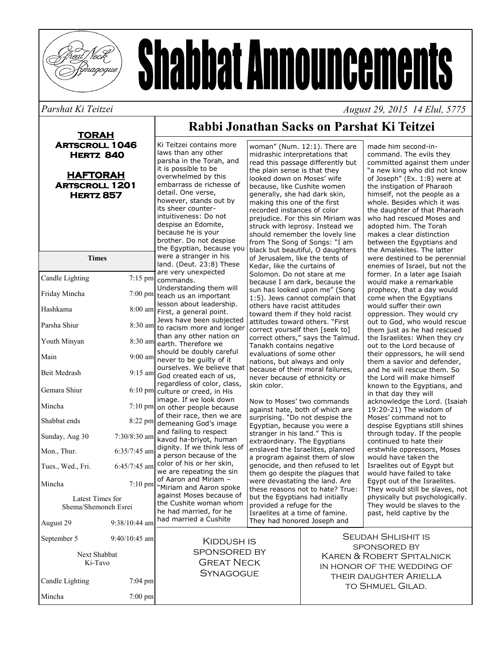

# **Shabbat Announcements**

#### Parshat Ki Teitzei

#### **TORAH ARTSCROLL 1046 HERTZ 840**

**HAFTORAH ARTSCROLL 1201 HERTZ 857** 

|                                          |                   | the I                 |
|------------------------------------------|-------------------|-----------------------|
| <b>Times</b>                             |                   | were<br>land          |
| Candle Lighting                          | $7:15 \text{ pm}$ | are v<br>com          |
| Friday Mincha                            | $7:00 \text{ pm}$ | Und<br>teac           |
| Hashkama                                 | 8:00 am           | lesso<br>First        |
| Parsha Shiur                             | 8:30 am           | <b>Jews</b><br>to ra  |
| Youth Minyan                             | 8:30 am           | than<br>eartl         |
| Main                                     | $9:00$ am         | shou<br>neve          |
| Beit Medrash                             | $9:15$ am         | ours<br>God           |
| Gemara Shiur                             | $6:10 \text{ pm}$ | rega<br>cultu         |
| Mincha                                   | $7:10 \text{ pm}$ | imag<br>on o          |
| Shabbat ends                             | 8:22 pm           | of th<br>dem          |
| Sunday, Aug 30                           | $7:30/8:30$ am    | and<br>kavo           |
| Mon., Thur.                              | $6:35/7:45$ am    | dign<br>a pe          |
| Tues., Wed., Fri.                        | $6:45/7:45$ am    | color<br>we a         |
| Mincha                                   | $7:10$ pm         | of A<br>"Miri         |
| Latest Times for<br>Shema/Shemoneh Esrei |                   | agai<br>the (<br>he h |
| August 29                                | $9:38/10:44$ am   | had                   |
| September 5                              | $9:40/10:45$ am   |                       |
| <b>Next Shabbat</b><br>Ki-Tavo           |                   |                       |

 $7:04$  pm

 $7:00$  pm

Candle Lighting

Mincha

## Rabbi Jonathan Sacks on Parshat Ki Teitzei

Ki Teitzei contains more laws than any other parsha in the Torah, and it is possible to be overwhelmed by this embarrass de richesse of detail. One verse, however, stands out by its sheer counterintuitiveness: Do not despise an Edomite, because he is your brother. Do not despise Egyptian, because you e a stranger in his I. (Deut. 23:8) These very unexpected mands. erstanding them will h us an important on about leadership. ;, a general point. s have been subjected acism more and longer any other nation on h. Therefore we uld be doubly careful  $\frac{1}{2}$  is to be quilty of it. elves. We believe that created each of us, ardless of color, class, ure or creed, in His ge. If we look down ther people because eir race, then we are eaning God's image failing to respect d ha-brivot, human ity. If we think less of rson because of the r of his or her skin, are repeating the sin aron and Miriam iam and Aaron spoke nst Moses because of Cushite woman whom ad married, for he married a Cushite

**KIDDUSH IS** 

SPONSORED BY

**GREAT NECK** 

**SYNAGOGUE** 

woman" (Num. 12:1). There are midrashic interpretations that read this passage differently but the plain sense is that they looked down on Moses' wife because, like Cushite women generally, she had dark skin, making this one of the first recorded instances of color prejudice. For this sin Miriam was struck with leprosy. Instead we should remember the lovely line from The Song of Songs: "I am black but beautiful, O daughters of Jerusalem, like the tents of Kedar, like the curtains of Solomon. Do not stare at me because I am dark, because the sun has looked upon me" (Song 1:5). Jews cannot complain that others have racist attitudes toward them if they hold racist attitudes toward others. "First correct yourself then [seek to] correct others," says the Talmud. Tanakh contains negative evaluations of some other nations, but always and only because of their moral failures, never because of ethnicity or skin color.

Now to Moses' two commands against hate, both of which are surprising. "Do not despise the Egyptian, because you were a stranger in his land." This is extraordinary. The Egyptians enslaved the Israelites, planned a program against them of slow genocide, and then refused to let them go despite the plagues that were devastating the land. Are these reasons not to hate? True: but the Egyptians had initially provided a refuge for the Israelites at a time of famine. They had honored Joseph and

made him second-incommand. The evils they committed against them under "a new king who did not know of Joseph" (Ex. 1:8) were at the instigation of Pharaoh himself, not the people as a whole. Besides which it was the daughter of that Pharaoh who had rescued Moses and adopted him. The Torah makes a clear distinction between the Egyptians and the Amalekites. The latter were destined to be perennial enemies of Israel, but not the former. In a later age Isaiah would make a remarkable prophecy, that a day would come when the Egyptians would suffer their own oppression. They would cry out to God, who would rescue them just as he had rescued the Israelites: When they cry out to the Lord because of their oppressors, he will send them a savior and defender, and he will rescue them. So the Lord will make himself known to the Egyptians, and in that day they will acknowledge the Lord. (Isaiah  $19:20-21$ ) The wisdom of Moses' command not to despise Egyptians still shines through today. If the people continued to hate their erstwhile oppressors, Moses would have taken the Israelites out of Egypt but would have failed to take Egypt out of the Israelites. They would still be slaves, not physically but psychologically. They would be slaves to the past, held captive by the

August 29, 2015 14 Elul, 5775

**SEUDAH SHLISHIT IS** SPONSORED BY KAREN & ROBERT SPITALNICK IN HONOR OF THE WEDDING OF THEIR DAUGHTER ARIELLA TO SHMUEL GILAD.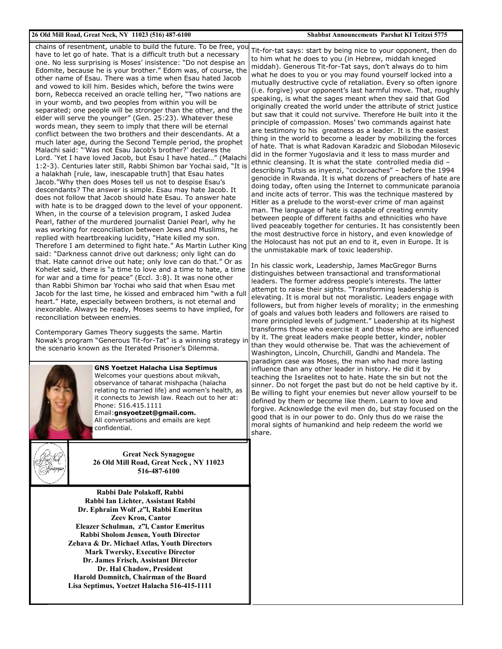#### 26 Old Mill Road, Great Neck, NY 11023 (516) 487-6100

chains of resentment, unable to build the future. To be free, you have to let go of hate. That is a difficult truth but a necessary one. No less surprising is Moses' insistence: "Do not despise an Edomite, because he is your brother." Edom was, of course, the other name of Esau. There was a time when Esau hated Jacob and vowed to kill him. Besides which, before the twins were born, Rebecca received an oracle telling her, "Two nations are in your womb, and two peoples from within you will be separated; one people will be stronger than the other, and the elder will serve the younger" (Gen. 25:23). Whatever these words mean, they seem to imply that there will be eternal conflict between the two brothers and their descendants. At a much later age, during the Second Temple period, the prophet Malachi said: "'Was not Esau Jacob's brother?' declares the Lord. 'Yet I have loved Jacob, but Esau I have hated..." (Malachi 1:2-3). Centuries later still, Rabbi Shimon bar Yochai said, "It is a halakhah [rule, law, inescapable truth] that Esau hates Jacob."Why then does Moses tell us not to despise Esau's descendants? The answer is simple. Esau may hate Jacob. It does not follow that Jacob should hate Esau. To answer hate with hate is to be dragged down to the level of your opponent. When, in the course of a television program, I asked Judea Pearl, father of the murdered journalist Daniel Pearl, why he was working for reconciliation between Jews and Muslims, he replied with heartbreaking lucidity, "Hate killed my son. Therefore I am determined to fight hate." As Martin Luther King said: "Darkness cannot drive out darkness; only light can do that. Hate cannot drive out hate; only love can do that." Or as Kohelet said, there is "a time to love and a time to hate, a time for war and a time for peace" (Eccl. 3:8). It was none other than Rabbi Shimon bar Yochai who said that when Esau met Jacob for the last time, he kissed and embraced him "with a full heart." Hate, especially between brothers, is not eternal and inexorable. Always be ready, Moses seems to have implied, for reconciliation between enemies.

Contemporary Games Theory suggests the same. Martin Nowak's program "Generous Tit-for-Tat" is a winning strategy in the scenario known as the Iterated Prisoner's Dilemma.



**GNS Yoetzet Halacha Lisa Septimus** Welcomes your questions about mikvah, observance of taharat mishpacha (halacha relating to married life) and women's health, as it connects to Jewish law. Reach out to her at: Phone: 516 415 1111 Email:gnsyoetzet@gmail.com.

All conversations and emails are kept confidential.



**Great Neck Synagogue** 26 Old Mill Road, Great Neck, NY 11023 516-487-6100

Rabbi Dale Polakoff, Rabbi Rabbi Ian Lichter, Assistant Rabbi Dr. Ephraim Wolf, z"l, Rabbi Emeritus **Zeev Kron, Cantor** Eleazer Schulman. z"l. Cantor Emeritus Rabbi Sholom Jensen, Youth Director Zehava & Dr. Michael Atlas, Youth Directors **Mark Twersky, Executive Director** Dr. James Frisch, Assistant Director Dr. Hal Chadow, President Harold Domnitch, Chairman of the Board Lisa Septimus, Yoetzet Halacha 516-415-1111 Tit-for-tat says: start by being nice to your opponent, then do to him what he does to you (in Hebrew, middah kneged middah). Generous Tit-for-Tat says, don't always do to him what he does to you or you may found yourself locked into a mutually destructive cycle of retaliation. Every so often ignore (i.e. forgive) your opponent's last harmful move. That, roughly speaking, is what the sages meant when they said that God originally created the world under the attribute of strict justice but saw that it could not survive. Therefore He built into it the principle of compassion. Moses' two commands against hate are testimony to his greatness as a leader. It is the easiest thing in the world to become a leader by mobilizing the forces of hate. That is what Radovan Karadzic and Slobodan Milosevic did in the former Yugoslavia and it less to mass murder and ethnic cleansing. It is what the state controlled media did describing Tutsis as inyenzi, "cockroaches" - before the 1994 genocide in Rwanda. It is what dozens of preachers of hate are doing today, often using the Internet to communicate paranoia and incite acts of terror. This was the technique mastered by Hitler as a prelude to the worst-ever crime of man against man. The language of hate is capable of creating enmity between people of different faiths and ethnicities who have lived peaceably together for centuries. It has consistently been the most destructive force in history, and even knowledge of the Holocaust has not put an end to it, even in Europe. It is the unmistakable mark of toxic leadership.

In his classic work, Leadership, James MacGregor Burns distinguishes between transactional and transformational leaders. The former address people's interests. The latter attempt to raise their sights. "Transforming leadership is elevating. It is moral but not moralistic. Leaders engage with followers, but from higher levels of morality; in the enmeshing of goals and values both leaders and followers are raised to more principled levels of judgment." Leadership at its highest transforms those who exercise it and those who are influenced by it. The great leaders make people better, kinder, nobler than they would otherwise be. That was the achievement of Washington, Lincoln, Churchill, Gandhi and Mandela. The paradigm case was Moses, the man who had more lasting influence than any other leader in history. He did it by teaching the Israelites not to hate. Hate the sin but not the sinner. Do not forget the past but do not be held captive by it. Be willing to fight your enemies but never allow yourself to be defined by them or become like them. Learn to love and forgive. Acknowledge the evil men do, but stay focused on the good that is in our power to do. Only thus do we raise the moral sights of humankind and help redeem the world we share.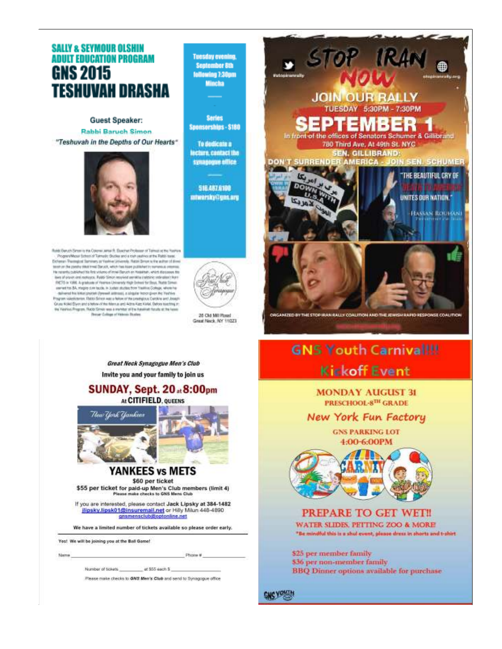## **SALLY & SEYMOUR OLSHIN ADULT EDUCATION PROGRAM GNS 2015 TESHUVAH DRASHA**

**Guest Speaker: Rabbi Baruch Simon** "Teshuvah in the Depths of Our Hearts"



Rold Daruth Simmits the Opener Jerse R. Student Professor of Talk Program/Massi School of Taimado Studies and a rout pastivo at the FaldS tyred Exchange: Thermalest Services, or Yeahing Linkensin, Rabbi Server to the author of directions and the positive start from Decock, which the board publishers is surprised. He networky customed for first universy of limited digitals are magazines, which allocations from<br>Seen of organizations replaces. Rules Simon securitati permitte craterion reduces in the FIETS in 1986. A graduate of Fearters University High Delived for Steps, Tracks Simus.<br>searced for BA, magins claim laccks, in Joshan studies from Teamina College, where he -tailward frie lotus protect (fyrewel activise), a singular troon given fra Yeshive<br>region valentations. Eleboi Sciosi was a fellow of the prestigious Ceroline and Joseph Gruss Nobel Eliver and produce of the Marriag and Adria Kare Kirlal, Dation teaching an the Vestical Program, Radio Grovin was a implified of the haulings through the basic filterior. College of Helenin Busines

**Tuesday evening.** September 8th following 7:30pm **Mincha** 

#### **Series** Sponsorships - \$180

To dedicate a lecture, contact the synapogue effice

518.487.6100 miworsky@gns.org



28 Clid Mill Road Great Neck, NY 11023

#### Great Neck Synagogue Men's Club Invite you and your family to join us

#### SUNDAY, Sept. 20 at 8:00pm At CITIFIELD, QUEENS



#### YANKEES vs METS

\$60 per ticket \$55 per ticket for paid-up Men's Club members (limit 4)<br>Please make checks to GNS Mens Club

If you are interested, please contact Jack Lipsky at 384-1482 jlipsky.lipsk01@insuremail.net or Hilly Milun 448-4890 gnsmensclub@optonline.net

We have a limited number of tickets available so please order early.

Phone #

Yes! We will be joining you at the Ball Game!

Name

Number of tickets at \$55 each \$

Please make checks to GNS Men's Club and send to Synagogue office



# **GNS Youth Carnival!!!**

# **Kickoff Event**

**MONDAY AUGUST 31** PRESCHOOL-8TH GRADE

**New York Fun Factory** 

**GNS PARKING LOT** 4:00-6:00PM



## PREPARE TO GET WET!!

WATER SLIDES, PETTING ZOO & MORE \*Be mindful this is a shul event, please dress in shorts and t-shirt.

\$25 per member family. \$36 per non-member family **BBQ** Dinner options available for purchase

**GNS YOU !!!**